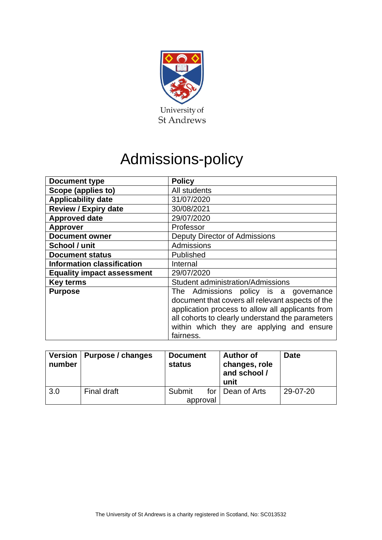

# Admissions-policy

| <b>Document type</b>              | <b>Policy</b>                                                                                                                                                                                                                                                  |  |  |
|-----------------------------------|----------------------------------------------------------------------------------------------------------------------------------------------------------------------------------------------------------------------------------------------------------------|--|--|
| Scope (applies to)                | All students                                                                                                                                                                                                                                                   |  |  |
| <b>Applicability date</b>         | 31/07/2020                                                                                                                                                                                                                                                     |  |  |
| <b>Review / Expiry date</b>       | 30/08/2021                                                                                                                                                                                                                                                     |  |  |
| <b>Approved date</b>              | 29/07/2020                                                                                                                                                                                                                                                     |  |  |
| <b>Approver</b>                   | Professor                                                                                                                                                                                                                                                      |  |  |
| <b>Document owner</b>             | <b>Deputy Director of Admissions</b>                                                                                                                                                                                                                           |  |  |
| School / unit                     | Admissions                                                                                                                                                                                                                                                     |  |  |
| <b>Document status</b>            | Published                                                                                                                                                                                                                                                      |  |  |
| <b>Information classification</b> | Internal                                                                                                                                                                                                                                                       |  |  |
| <b>Equality impact assessment</b> | 29/07/2020                                                                                                                                                                                                                                                     |  |  |
| <b>Key terms</b>                  | <b>Student administration/Admissions</b>                                                                                                                                                                                                                       |  |  |
| <b>Purpose</b>                    | The Admissions policy is a<br>governance<br>document that covers all relevant aspects of the<br>application process to allow all applicants from<br>all cohorts to clearly understand the parameters<br>within which they are applying and ensure<br>fairness. |  |  |

| Version<br>number | Purpose / changes | <b>Document</b><br><b>status</b> | <b>Author of</b><br>changes, role<br>and school /<br>unit | <b>Date</b> |
|-------------------|-------------------|----------------------------------|-----------------------------------------------------------|-------------|
| 3.0               | Final draft       | Submit                           | for   Dean of Arts                                        | 29-07-20    |
|                   |                   | approval                         |                                                           |             |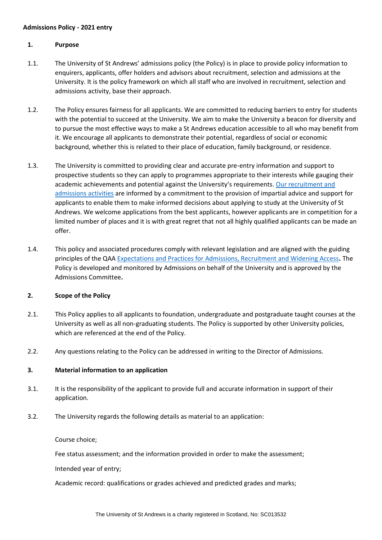#### **Admissions Policy - 2021 entry**

#### **1. Purpose**

- 1.1. The University of St Andrews' admissions policy (the Policy) is in place to provide policy information to enquirers, applicants, offer holders and advisors about recruitment, selection and admissions at the University. It is the policy framework on which all staff who are involved in recruitment, selection and admissions activity, base their approach.
- 1.2. The Policy ensures fairness for all applicants. We are committed to reducing barriers to entry for students with the potential to succeed at the University. We aim to make the University a beacon for diversity and to pursue the most effective ways to make a St Andrews education accessible to all who may benefit from it. We encourage all applicants to demonstrate their potential, regardless of social or economic background, whether this is related to their place of education, family background, or residence.
- 1.3. The University is committed to providing clear and accurate pre-entry information and support to prospective students so they can apply to programmes appropriate to their interests while gauging their academic achievements and potential against the University's requirements. Our recruitment and [admissions activities](https://www.st-andrews.ac.uk/study/) are informed by a commitment to the provision of impartial advice and support for applicants to enable them to make informed decisions about applying to study at the University of St Andrews. We welcome applications from the best applicants, however applicants are in competition for a limited number of places and it is with great regret that not all highly qualified applicants can be made an offer.
- 1.4. This policy and associated procedures comply with relevant legislation and are aligned with the guiding principles of the QAA [Expectations and Practices for Admissions, Recruitment and Widening Access](https://www.qaa.ac.uk/en/quality-code/advice-and-guidance/admissions-recruitment-and-widening-access)**.** The Policy is developed and monitored by Admissions on behalf of the University and is approved by the Admissions Committee**.**

#### **2. Scope of the Policy**

- 2.1. This Policy applies to all applicants to foundation, undergraduate and postgraduate taught courses at the University as well as all non-graduating students. The Policy is supported by other University policies, which are referenced at the end of the Policy.
- 2.2. Any questions relating to the Policy can be addressed in writing to the Director of Admissions.

#### **3. Material information to an application**

- 3.1. It is the responsibility of the applicant to provide full and accurate information in support of their application.
- 3.2. The University regards the following details as material to an application:

#### Course choice;

Fee status assessment; and the information provided in order to make the assessment;

Intended year of entry;

Academic record: qualifications or grades achieved and predicted grades and marks;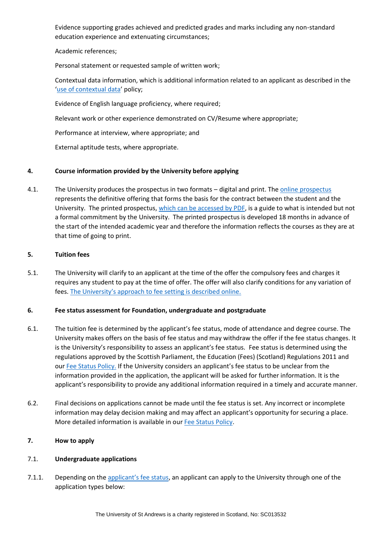Evidence supporting grades achieved and predicted grades and marks including any non-standard education experience and extenuating circumstances;

Academic references;

Personal statement or requested sample of written work;

Contextual data information, which is additional information related to an applicant as described in the '[use of contextual data](https://www.st-andrews.ac.uk/study/policy/contextual-data/)' policy;

Evidence of English language proficiency, where required;

Relevant work or other experience demonstrated on CV/Resume where appropriate;

Performance at interview, where appropriate; and

External aptitude tests, where appropriate.

# **4. Course information provided by the University before applying**

4.1. The University produces the prospectus in two formats – digital and print. The [online prospectus](https://www.st-andrews.ac.uk/subjects/) represents the definitive offering that forms the basis for the contract between the student and the University. The printed prospectus, [which can be accessed by PDF,](https://www.st-andrews.ac.uk/study/prospectus/) is a guide to what is intended but not a formal commitment by the University. The printed prospectus is developed 18 months in advance of the start of the intended academic year and therefore the information reflects the courses as they are at that time of going to print.

# **5. Tuition fees**

5.1. The University will clarify to an applicant at the time of the offer the compulsory fees and charges it requires any student to pay at the time of offer. The offer will also clarify conditions for any variation of fees. [The University's approach to fee setting is described online.](https://www.st-andrews.ac.uk/media/teaching-and-learning/policies/fee-setting-protocol.pdf)

#### **6. Fee status assessment for Foundation, undergraduate and postgraduate**

- 6.1. The tuition fee is determined by the applicant's fee status, mode of attendance and degree course. The University makes offers on the basis of fee status and may withdraw the offer if the fee status changes. It is the University's responsibility to assess an applicant's fee status. Fee status is determined using the regulations approved by the Scottish Parliament, the Education (Fees) (Scotland) Regulations 2011 and ou[r Fee Status Policy.](https://www.st-andrews.ac.uk/policy/student-administration-tuition-fees/fee-status-policy.pdf) If the University considers an applicant's fee status to be unclear from the information provided in the application, the applicant will be asked for further information. It is the applicant's responsibility to provide any additional information required in a timely and accurate manner.
- 6.2. Final decisions on applications cannot be made until the fee status is set. Any incorrect or incomplete information may delay decision making and may affect an applicant's opportunity for securing a place. More detailed information is available in our [Fee Status Policy.](https://www.st-andrews.ac.uk/study/policy/fee-status/)

# **7. How to apply**

# 7.1. **Undergraduate applications**

7.1.1. Depending on the [applicant's fee status](https://www.st-andrews.ac.uk/study/policy/fee-status/), an applicant can apply to the University through one of the application types below: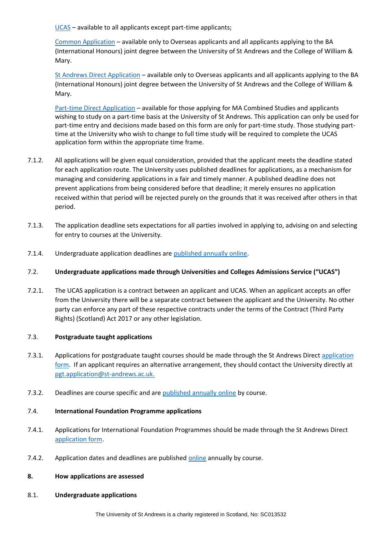[UCAS](https://www.st-andrews.ac.uk/study/apply/ug/ucas/) – available to all applicants except part-time applicants;

[Common Application](https://www.st-andrews.ac.uk/study/apply/ug/common/) – available only to Overseas applicants and all applicants applying to the BA (International Honours) joint degree between the University of St Andrews and the College of William & Mary.

St [Andrews Direct Application](https://www.st-andrews.ac.uk/study/apply/ug/direct/) – available only to Overseas applicants and all applicants applying to the BA (International Honours) joint degree between the University of St Andrews and the College of William & Mary.

[Part-time Direct Application](https://www.st-andrews.ac.uk/assets/university/subjects/documents/study-options/Part-time%20study%20application%20form.pdf) – available for those applying for MA Combined Studies and applicants wishing to study on a part-time basis at the University of St Andrews. This application can only be used for part-time entry and decisions made based on this form are only for part-time study. Those studying parttime at the University who wish to change to full time study will be required to complete the UCAS application form within the appropriate time frame.

- 7.1.2. All applications will be given equal consideration, provided that the applicant meets the deadline stated for each application route. The University uses published deadlines for applications, as a mechanism for managing and considering applications in a fair and timely manner. A published deadline does not prevent applications from being considered before that deadline; it merely ensures no application received within that period will be rejected purely on the grounds that it was received after others in that period.
- 7.1.3. The application deadline sets expectations for all parties involved in applying to, advising on and selecting for entry to courses at the University.
- 7.1.4. Undergraduate application deadlines are [published annually online.](https://www.st-andrews.ac.uk/study/apply/ug/)

# 7.2. **Undergraduate applications made through Universities and Colleges Admissions Service ("UCAS")**

7.2.1. The UCAS application is a contract between an applicant and UCAS. When an applicant accepts an offer from the University there will be a separate contract between the applicant and the University. No other party can enforce any part of these respective contracts under the terms of the Contract (Third Party Rights) (Scotland) Act 2017 or any other legislation.

#### 7.3. **Postgraduate taught applications**

- 7.3.1. Applications for postgraduate taught courses should be made through the St Andrews Direc[t application](https://www.st-andrews.ac.uk/study/apply/postgraduate/taught/)  [form.](https://www.st-andrews.ac.uk/study/apply/postgraduate/taught/) If an applicant requires an alternative arrangement, they should contact the University directly at [pgt.application@st-andrews.ac.uk.](mailto:pgt.application@st-andrews.ac.uk)
- 7.3.2. Deadlines are course specific and are [published annually online](https://www.st-andrews.ac.uk/subjects/study-options/pg/taught-programmes/) by course.

## 7.4. **International Foundation Programme applications**

- 7.4.1. Applications for International Foundation Programmes should be made through the St Andrews Direct [application form.](https://www.st-andrews.ac.uk/subjects/study-options/foundation/apply/)
- 7.4.2. Application dates and deadlines are published [online](https://www.st-andrews.ac.uk/subjects/study-options/foundation/programmes/) annually by course.

#### **8. How applications are assessed**

8.1. **Undergraduate applications**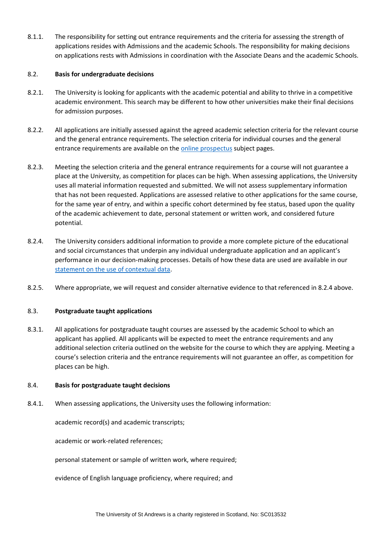8.1.1. The responsibility for setting out entrance requirements and the criteria for assessing the strength of applications resides with Admissions and the academic Schools. The responsibility for making decisions on applications rests with Admissions in coordination with the Associate Deans and the academic Schools.

## 8.2. **Basis for undergraduate decisions**

- 8.2.1. The University is looking for applicants with the academic potential and ability to thrive in a competitive academic environment. This search may be different to how other universities make their final decisions for admission purposes.
- 8.2.2. All applications are initially assessed against the agreed academic selection criteria for the relevant course and the general entrance requirements. The selection criteria for individual courses and the general entrance requirements are available on the [online prospectus](https://www.st-andrews.ac.uk/study/prospectus/ug-prospectus/) subject pages.
- 8.2.3. Meeting the selection criteria and the general entrance requirements for a course will not guarantee a place at the University, as competition for places can be high. When assessing applications, the University uses all material information requested and submitted. We will not assess supplementary information that has not been requested. Applications are assessed relative to other applications for the same course, for the same year of entry, and within a specific cohort determined by fee status, based upon the quality of the academic achievement to date, personal statement or written work, and considered future potential.
- 8.2.4. The University considers additional information to provide a more complete picture of the educational and social circumstances that underpin any individual undergraduate application and an applicant's performance in our decision-making processes. Details of how these data are used are available in our [statement on the use of contextual data.](https://www.st-andrews.ac.uk/study/policy/contextual-data/)
- 8.2.5. Where appropriate, we will request and consider alternative evidence to that referenced in 8.2.4 above.

# 8.3. **Postgraduate taught applications**

8.3.1. All applications for postgraduate taught courses are assessed by the academic School to which an applicant has applied. All applicants will be expected to meet the entrance requirements and any additional selection criteria outlined on the website for the course to which they are applying. Meeting a course's selection criteria and the entrance requirements will not guarantee an offer, as competition for places can be high.

#### 8.4. **Basis for postgraduate taught decisions**

8.4.1. When assessing applications, the University uses the following information:

academic record(s) and academic transcripts;

academic or work-related references;

personal statement or sample of written work, where required;

evidence of English language proficiency, where required; and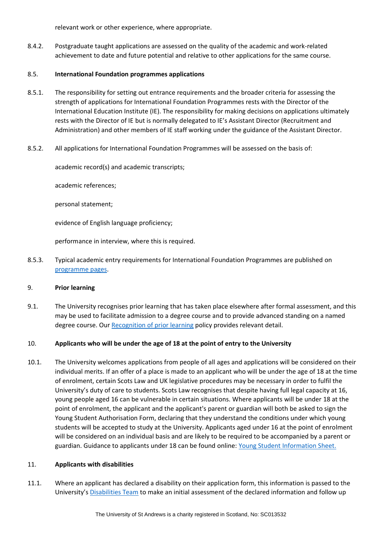relevant work or other experience, where appropriate.

8.4.2. Postgraduate taught applications are assessed on the quality of the academic and work-related achievement to date and future potential and relative to other applications for the same course.

# 8.5. **International Foundation programmes applications**

- 8.5.1. The responsibility for setting out entrance requirements and the broader criteria for assessing the strength of applications for International Foundation Programmes rests with the Director of the International Education Institute (IE). The responsibility for making decisions on applications ultimately rests with the Director of IE but is normally delegated to IE's Assistant Director (Recruitment and Administration) and other members of IE staff working under the guidance of the Assistant Director.
- 8.5.2. All applications for International Foundation Programmes will be assessed on the basis of:

academic record(s) and academic transcripts;

academic references;

personal statement;

evidence of English language proficiency;

performance in interview, where this is required.

8.5.3. Typical academic entry requirements for International Foundation Programmes are published on [programme pages.](https://www.st-andrews.ac.uk/subjects/study-options/foundation/programmes/)

#### 9. **Prior learning**

9.1. The University recognises prior learning that has taken place elsewhere after formal assessment, and this may be used to facilitate admission to a degree course and to provide advanced standing on a named degree course. Our [Recognition of prior learning](https://www.st-andrews.ac.uk/assets/university/study-at-st-andrews/documents/recognition-of-prior-learning.pdf) policy provides relevant detail.

#### 10. **Applicants who will be under the age of 18 at the point of entry to the University**

10.1. The University welcomes applications from people of all ages and applications will be considered on their individual merits. If an offer of a place is made to an applicant who will be under the age of 18 at the time of enrolment, certain Scots Law and UK legislative procedures may be necessary in order to fulfil the University's duty of care to students. Scots Law recognises that despite having full legal capacity at 16, young people aged 16 can be vulnerable in certain situations. Where applicants will be under 18 at the point of enrolment, the applicant and the applicant's parent or guardian will both be asked to sign the Young Student Authorisation Form, declaring that they understand the conditions under which young students will be accepted to study at the University. Applicants aged under 16 at the point of enrolment will be considered on an individual basis and are likely to be required to be accompanied by a parent or guardian. Guidance to applicants under 18 can be found online: [Young Student Information Sheet.](https://www.st-andrews.ac.uk/media/human-resources/new-policy-section-documents/safeguarding/Student%20authorisation%20form.docx)

#### 11. **Applicants with disabilities**

11.1. Where an applicant has declared a disability on their application form, this information is passed to the University's [Disabilities Team](https://www.st-andrews.ac.uk/study/support/students-with-disabilities/) to make an initial assessment of the declared information and follow up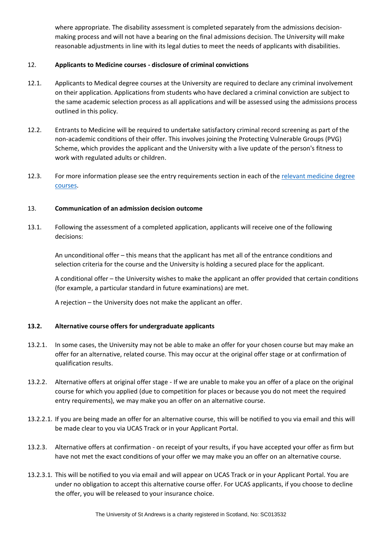where appropriate. The disability assessment is completed separately from the admissions decisionmaking process and will not have a bearing on the final admissions decision. The University will make reasonable adjustments in line with its legal duties to meet the needs of applicants with disabilities.

# 12. **Applicants to Medicine courses - disclosure of criminal convictions**

- 12.1. Applicants to Medical degree courses at the University are required to declare any criminal involvement on their application. Applications from students who have declared a criminal conviction are subject to the same academic selection process as all applications and will be assessed using the admissions process outlined in this policy.
- 12.2. Entrants to Medicine will be required to undertake satisfactory criminal record screening as part of the non-academic conditions of their offer. This involves joining the Protecting Vulnerable Groups (PVG) Scheme, which provides the applicant and the University with a live update of the person's fitness to work with regulated adults or children.
- 12.3. For more information please see the entry requirements section in each of the relevant medicine degree [courses.](https://www.st-andrews.ac.uk/subjects/medicine/)

# 13. **Communication of an admission decision outcome**

13.1. Following the assessment of a completed application, applicants will receive one of the following decisions:

An unconditional offer – this means that the applicant has met all of the entrance conditions and selection criteria for the course and the University is holding a secured place for the applicant.

A conditional offer – the University wishes to make the applicant an offer provided that certain conditions (for example, a particular standard in future examinations) are met.

A rejection – the University does not make the applicant an offer.

# **13.2. Alternative course offers for undergraduate applicants**

- 13.2.1. In some cases, the University may not be able to make an offer for your chosen course but may make an offer for an alternative, related course. This may occur at the original offer stage or at confirmation of qualification results.
- 13.2.2. Alternative offers at original offer stage If we are unable to make you an offer of a place on the original course for which you applied (due to competition for places or because you do not meet the required entry requirements), we may make you an offer on an alternative course.
- 13.2.2.1. If you are being made an offer for an alternative course, this will be notified to you via email and this will be made clear to you via UCAS Track or in your Applicant Portal.
- 13.2.3. Alternative offers at confirmation on receipt of your results, if you have accepted your offer as firm but have not met the exact conditions of your offer we may make you an offer on an alternative course.
- 13.2.3.1. This will be notified to you via email and will appear on UCAS Track or in your Applicant Portal. You are under no obligation to accept this alternative course offer. For UCAS applicants, if you choose to decline the offer, you will be released to your insurance choice.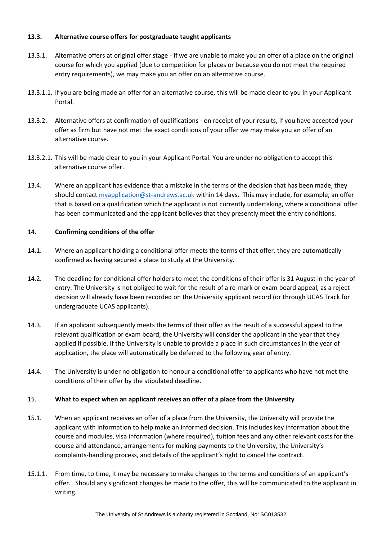# **13.3. Alternative course offers for postgraduate taught applicants**

- 13.3.1. Alternative offers at original offer stage If we are unable to make you an offer of a place on the original course for which you applied (due to competition for places or because you do not meet the required entry requirements), we may make you an offer on an alternative course.
- 13.3.1.1. If you are being made an offer for an alternative course, this will be made clear to you in your Applicant Portal.
- 13.3.2. Alternative offers at confirmation of qualifications on receipt of your results, if you have accepted your offer as firm but have not met the exact conditions of your offer we may make you an offer of an alternative course.
- 13.3.2.1. This will be made clear to you in your Applicant Portal. You are under no obligation to accept this alternative course offer.
- 13.4. Where an applicant has evidence that a mistake in the terms of the decision that has been made, they should contact [myapplication@st-andrews.ac.uk](mailto:myapplication@st-andrews.ac.uk) within 14 days. This may include, for example, an offer that is based on a qualification which the applicant is not currently undertaking, where a conditional offer has been communicated and the applicant believes that they presently meet the entry conditions.

# 14. **Confirming conditions of the offer**

- 14.1. Where an applicant holding a conditional offer meets the terms of that offer, they are automatically confirmed as having secured a place to study at the University.
- 14.2. The deadline for conditional offer holders to meet the conditions of their offer is 31 August in the year of entry. The University is not obliged to wait for the result of a re-mark or exam board appeal, as a reject decision will already have been recorded on the University applicant record (or through UCAS Track for undergraduate UCAS applicants).
- 14.3. If an applicant subsequently meets the terms of their offer as the result of a successful appeal to the relevant qualification or exam board, the University will consider the applicant in the year that they applied if possible. If the University is unable to provide a place in such circumstances in the year of application, the place will automatically be deferred to the following year of entry.
- 14.4. The University is under no obligation to honour a conditional offer to applicants who have not met the conditions of their offer by the stipulated deadline.

#### 15. **What to expect when an applicant receives an offer of a place from the University**

- 15.1. When an applicant receives an offer of a place from the University, the University will provide the applicant with information to help make an informed decision. This includes key information about the course and modules, visa information (where required), tuition fees and any other relevant costs for the course and attendance, arrangements for making payments to the University, the University's complaints-handling process, and details of the applicant's right to cancel the contract.
- 15.1.1. From time, to time, it may be necessary to make changes to the terms and conditions of an applicant's offer. Should any significant changes be made to the offer, this will be communicated to the applicant in writing.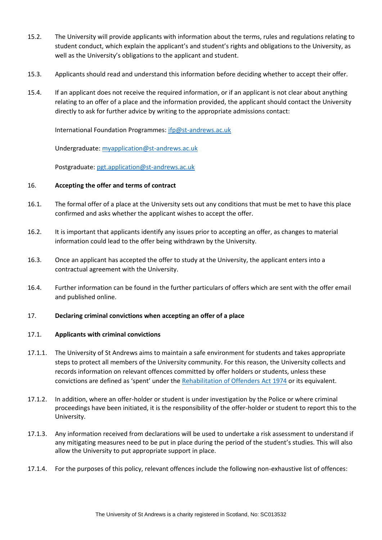- 15.2. The University will provide applicants with information about the terms, rules and regulations relating to student conduct, which explain the applicant's and student's rights and obligations to the University, as well as the University's obligations to the applicant and student.
- 15.3. Applicants should read and understand this information before deciding whether to accept their offer.
- 15.4. If an applicant does not receive the required information, or if an applicant is not clear about anything relating to an offer of a place and the information provided, the applicant should contact the University directly to ask for further advice by writing to the appropriate admissions contact:

International Foundation Programmes: [ifp@st-andrews.ac.uk](mailto:ifp@st-andrews.ac.uk)

Undergraduate: [myapplication@st-andrews.ac.uk](mailto:myapplication@st-andrews.ac.uk)

Postgraduate: [pgt.application@st-andrews.ac.uk](mailto:pgt.application@st-andrews.ac.uk)

#### 16. **Accepting the offer and terms of contract**

- 16.1. The formal offer of a place at the University sets out any conditions that must be met to have this place confirmed and asks whether the applicant wishes to accept the offer.
- 16.2. It is important that applicants identify any issues prior to accepting an offer, as changes to material information could lead to the offer being withdrawn by the University.
- 16.3. Once an applicant has accepted the offer to study at the University, the applicant enters into a contractual agreement with the University.
- 16.4. Further information can be found in the further particulars of offers which are sent with the offer email and published online.

#### 17. **Declaring criminal convictions when accepting an offer of a place**

#### 17.1. **Applicants with criminal convictions**

- 17.1.1. The University of St Andrews aims to maintain a safe environment for students and takes appropriate steps to protect all members of the University community. For this reason, the University collects and records information on relevant offences committed by offer holders or students, unless these convictions are defined as 'spent' under the [Rehabilitation of Offenders Act 1974](https://www.nacro.org.uk/resettlement-advice-service/support-for-individuals/disclosing-criminal-records/rehabilitation-offenders-act/) or its equivalent.
- 17.1.2. In addition, where an offer-holder or student is under investigation by the Police or where criminal proceedings have been initiated, it is the responsibility of the offer-holder or student to report this to the University.
- 17.1.3. Any information received from declarations will be used to undertake a risk assessment to understand if any mitigating measures need to be put in place during the period of the student's studies. This will also allow the University to put appropriate support in place.
- 17.1.4. For the purposes of this policy, relevant offences include the following non-exhaustive list of offences: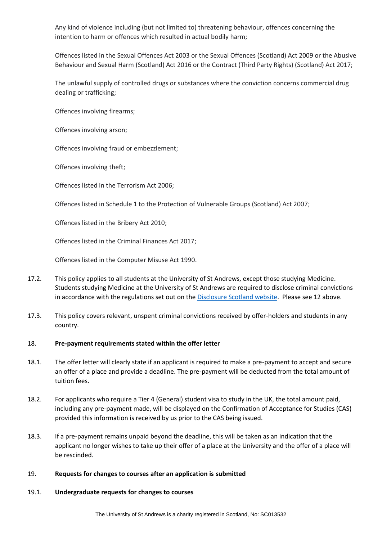Any kind of violence including (but not limited to) threatening behaviour, offences concerning the intention to harm or offences which resulted in actual bodily harm;

Offences listed in the Sexual Offences Act 2003 or the Sexual Offences (Scotland) Act 2009 or the Abusive Behaviour and Sexual Harm (Scotland) Act 2016 or the Contract (Third Party Rights) (Scotland) Act 2017;

The unlawful supply of controlled drugs or substances where the conviction concerns commercial drug dealing or trafficking;

Offences involving firearms;

Offences involving arson;

Offences involving fraud or embezzlement;

Offences involving theft;

Offences listed in the Terrorism Act 2006;

Offences listed in Schedule 1 to the Protection of Vulnerable Groups (Scotland) Act 2007;

Offences listed in the Bribery Act 2010;

Offences listed in the Criminal Finances Act 2017;

Offences listed in the Computer Misuse Act 1990.

- 17.2. This policy applies to all students at the University of St Andrews, except those studying Medicine. Students studying Medicine at the University of St Andrews are required to disclose criminal convictions in accordance with the regulations set out on th[e Disclosure Scotland website.](https://www.mygov.scot/disclosure-types/?via=http://www.disclosurescotland.co.uk/) Please see 12 above.
- 17.3. This policy covers relevant, unspent criminal convictions received by offer-holders and students in any country.

#### 18. **Pre-payment requirements stated within the offer letter**

- 18.1. The offer letter will clearly state if an applicant is required to make a pre-payment to accept and secure an offer of a place and provide a deadline. The pre-payment will be deducted from the total amount of tuition fees.
- 18.2. For applicants who require a Tier 4 (General) student visa to study in the UK, the total amount paid, including any pre-payment made, will be displayed on the Confirmation of Acceptance for Studies (CAS) provided this information is received by us prior to the CAS being issued.
- 18.3. If a pre-payment remains unpaid beyond the deadline, this will be taken as an indication that the applicant no longer wishes to take up their offer of a place at the University and the offer of a place will be rescinded.

#### 19. **Requests for changes to courses after an application is submitted**

#### 19.1. **Undergraduate requests for changes to courses**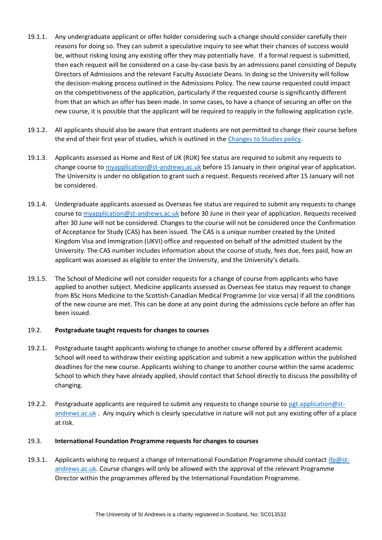- 19.1.1. Any undergraduate applicant or offer holder considering such a change should consider carefully their reasons for doing so. They can submit a speculative inquiry to see what their chances of success would be, without risking losing any existing offer they may potentially have. If a formal request is submitted, then each request will be considered on a case-by-case basis by an admissions panel consisting of Deputy Directors of Admissions and the relevant Faculty Associate Deans. In doing so the University will follow the decision-making process outlined in the Admissions Policy. The new course requested could impact on the competitiveness of the application, particularly if the requested course is significantly different from that on which an offer has been made. In some cases, to have a chance of securing an offer on the new course, it is possible that the applicant will be required to reapply in the following application cycle.
- 19.1.2. All applicants should also be aware that entrant students are not permitted to change their course before the end of their first year of studies, which is outlined in the [Changes to Studies policy.](https://www.st-andrews.ac.uk/media/proctor/documents/changes-studies.pdf)
- 19.1.3. Applicants assessed as Home and Rest of UK (RUK) fee status are required to submit any requests to change course to [myapplication@st-andrews.ac.uk](mailto:myapplication@st-andrews.ac.uk) before 15 January in their original year of application. The University is under no obligation to grant such a request. Requests received after 15 January will not be considered.
- 19.1.4. Undergraduate applicants assessed as Overseas fee status are required to submit any requests to change course to [myapplication@st-andrews.ac.uk](mailto:myapplication@st-andrews.ac.uk) before 30 June in their year of application. Requests received after 30 June will not be considered. Changes to the course will not be considered once the Confirmation of Acceptance for Study (CAS) has been issued. The CAS is a unique number created by the United Kingdom Visa and Immigration (UKVI) office and requested on behalf of the admitted student by the University. The CAS number includes information about the course of study, fees due, fees paid, how an applicant was assessed as eligible to enter the University, and the University's details.
- 19.1.5. The School of Medicine will not consider requests for a change of course from applicants who have applied to another subject. Medicine applicants assessed as Overseas fee status may request to change from BSc Hons Medicine to the Scottish-Canadian Medical Programme (or vice versa) if all the conditions of the new course are met. This can be done at any point during the admissions cycle before an offer has been issued.

#### 19.2. **Postgraduate taught requests for changes to courses**

- 19.2.1. Postgraduate taught applicants wishing to change to another course offered by a different academic School will need to withdraw their existing application and submit a new application within the published deadlines for the new course. Applicants wishing to change to another course within the same academic School to which they have already applied, should contact that School directly to discuss the possibility of changing.
- 19.2.2. Postgraduate applicants are required to submit any requests to change course to [pgt.application@st](mailto:pgt.application@st-andrews.ac.uk)[andrews.ac.uk](mailto:pgt.application@st-andrews.ac.uk) . Any inquiry which is clearly speculative in nature will not put any existing offer of a place at risk.

# 19.3. **International Foundation Programme requests for changes to courses**

19.3.1. Applicants wishing to request a change of International Foundation Programme should contact [ifp@st](mailto:ifp@st-andrews.ac.uk)[andrews.ac.uk.](mailto:ifp@st-andrews.ac.uk) Course changes will only be allowed with the approval of the relevant Programme Director within the programmes offered by the International Foundation Programme.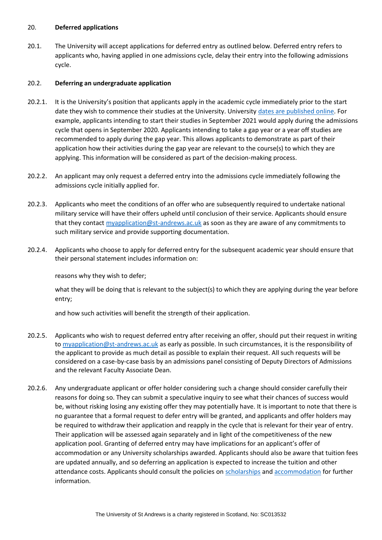#### 20. **Deferred applications**

20.1. The University will accept applications for deferred entry as outlined below. Deferred entry refers to applicants who, having applied in one admissions cycle, delay their entry into the following admissions cycle.

#### 20.2. **Deferring an undergraduate application**

- 20.2.1. It is the University's position that applicants apply in the academic cycle immediately prior to the start date they wish to commence their studies at the University. University [dates are published online.](https://www.st-andrews.ac.uk/semester-dates/) For example, applicants intending to start their studies in September 2021 would apply during the admissions cycle that opens in September 2020. Applicants intending to take a gap year or a year off studies are recommended to apply during the gap year. This allows applicants to demonstrate as part of their application how their activities during the gap year are relevant to the course(s) to which they are applying. This information will be considered as part of the decision-making process.
- 20.2.2. An applicant may only request a deferred entry into the admissions cycle immediately following the admissions cycle initially applied for.
- 20.2.3. Applicants who meet the conditions of an offer who are subsequently required to undertake national military service will have their offers upheld until conclusion of their service. Applicants should ensure that they contact [myapplication@st-andrews.ac.uk](mailto:22.Deferred%20applications%20%2022.1.Deferring%20an%20Undergraduate%20application%2022.1.1.The%20University%20will%20accept%20applications%20for%20deferred%20entry%20as%20outlined%20below.%20Deferred%20entry%20refers%20to%20applicants%20who,%20having%20applied%20in%20one%20admissions%20cycle,%20delay%20their%20entry%20into%20the%20following%20admissions%20cycle.%20%20%20%2022.1.2.It%20is%20the%20University’s%20position%20that%20applicants%20apply%20in%20the%20academic%20cycle%20immediately%20prior%20to%20the%20start%20date%20they%20wish%20to%20commence%20their%20studies%20at%20the%20University.%20University%20dates%20are%20published%20online.%20For%20example,%20applicants%20intending%20to%20start%20their%20studies%20in%20September%202020%20would%20apply%20during%20the%20academic%20cycle%20that%20opens%20in%20September%202019.%20Applicants%20intending%20to%20take%20a%20gap%20year%20or%20a%20year%20off%20studies,%20are%20recommended%20to%20apply%20during%20the%20gap%20year.%20This%20allows%20applicants%20to%20demonstrate%20as%20part%20of%20their%20application%20how%20their%20activities%20during%20the%20gap%20year%20are%20relevant%20to%20the%20subject(s)%20to%20which%20they%20are%20applying.%20This%20information%20will%20be%20considered%20as%20part%20of%20the%20decision-making%20process.%20%2022.1.3.An%20applicant%20may%20only%20request%20a%20deferred%20entry%20for%20entry%20into%20the%20following%20admissions%20cycle.%20%2022.1.4.Applicants%20who%20meet%20the%20conditions%20of%20an%20offer%20who%20are%20subsequently%20required%20to%20undertake%20national%20military%20service%20will%20have%20their%20offers%20upheld%20until%20conclusion%20of%20their%20service.%20Applicants%20should%20ensure%20that%20they%20contact%20myapplication@st-andrews.ac.uk%20as%20soon%20as%20they%20are%20aware%20of%20any%20commitments%20to%20such%20military%20service%20and%20provide%20supporting%20documentation.%20%2022.1.5.Applicants%20who%20still%20choose%20to%20apply%20for%20deferred%20entry%20for%20the%20subsequent%20academic%20year) as soon as they are aware of any commitments to such military service and provide supporting documentation.
- 20.2.4. Applicants who choose to apply for deferred entry for the subsequent academic year should ensure that their personal statement includes information on:

reasons why they wish to defer;

what they will be doing that is relevant to the subject(s) to which they are applying during the year before entry;

and how such activities will benefit the strength of their application.

- 20.2.5. Applicants who wish to request deferred entry after receiving an offer, should put their request in writing to [myapplication@st-andrews.ac.uk](mailto:myapplication@st-andrews.ac.uk) as early as possible. In such circumstances, it is the responsibility of the applicant to provide as much detail as possible to explain their request. All such requests will be considered on a case-by-case basis by an admissions panel consisting of Deputy Directors of Admissions and the relevant Faculty Associate Dean.
- 20.2.6. Any undergraduate applicant or offer holder considering such a change should consider carefully their reasons for doing so. They can submit a speculative inquiry to see what their chances of success would be, without risking losing any existing offer they may potentially have. It is important to note that there is no guarantee that a formal request to defer entry will be granted, and applicants and offer holders may be required to withdraw their application and reapply in the cycle that is relevant for their year of entry. Their application will be assessed again separately and in light of the competitiveness of the new application pool. Granting of deferred entry may have implications for an applicant's offer of accommodation or any University scholarships awarded. Applicants should also be aware that tuition fees are updated annually, and so deferring an application is expected to increase the tuition and other attendance costs. Applicants should consult the policies on [scholarships](https://www.st-andrews.ac.uk/study/fees-and-funding/undergraduate/financial-assistance/) and [accommodation](https://www.st-andrews.ac.uk/accommodation/ug/current/residents/documents/) for further information.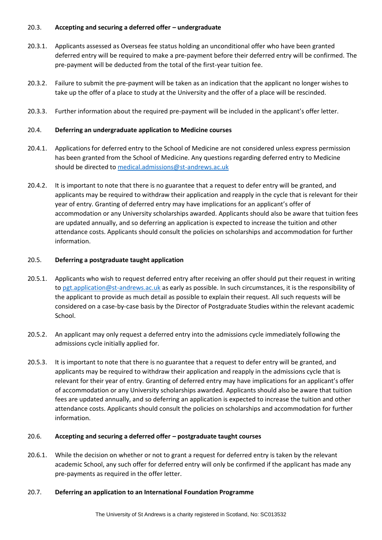## 20.3. **Accepting and securing a deferred offer – undergraduate**

- 20.3.1. Applicants assessed as Overseas fee status holding an unconditional offer who have been granted deferred entry will be required to make a pre-payment before their deferred entry will be confirmed. The pre-payment will be deducted from the total of the first-year tuition fee.
- 20.3.2. Failure to submit the pre-payment will be taken as an indication that the applicant no longer wishes to take up the offer of a place to study at the University and the offer of a place will be rescinded.
- 20.3.3. Further information about the required pre-payment will be included in the applicant's offer letter.

## 20.4. **Deferring an undergraduate application to Medicine courses**

- 20.4.1. Applications for deferred entry to the School of Medicine are not considered unless express permission has been granted from the School of Medicine. Any questions regarding deferred entry to Medicine should be directed t[o medical.admissions@st-andrews.ac.uk](mailto:medical.admissions@st-andrews.ac.uk)
- 20.4.2. It is important to note that there is no guarantee that a request to defer entry will be granted, and applicants may be required to withdraw their application and reapply in the cycle that is relevant for their year of entry. Granting of deferred entry may have implications for an applicant's offer of accommodation or any University scholarships awarded. Applicants should also be aware that tuition fees are updated annually, and so deferring an application is expected to increase the tuition and other attendance costs. Applicants should consult the policies on scholarships and accommodation for further information.

#### 20.5. **Deferring a postgraduate taught application**

- 20.5.1. Applicants who wish to request deferred entry after receiving an offer should put their request in writing to [pgt.application@st-andrews.ac.uk](mailto:pgt.application@st-andrews.ac.uk) as early as possible. In such circumstances, it is the responsibility of the applicant to provide as much detail as possible to explain their request. All such requests will be considered on a case-by-case basis by the Director of Postgraduate Studies within the relevant academic School.
- 20.5.2. An applicant may only request a deferred entry into the admissions cycle immediately following the admissions cycle initially applied for.
- 20.5.3. It is important to note that there is no guarantee that a request to defer entry will be granted, and applicants may be required to withdraw their application and reapply in the admissions cycle that is relevant for their year of entry. Granting of deferred entry may have implications for an applicant's offer of accommodation or any University scholarships awarded. Applicants should also be aware that tuition fees are updated annually, and so deferring an application is expected to increase the tuition and other attendance costs. Applicants should consult the policies on scholarships and accommodation for further information.

#### 20.6. **Accepting and securing a deferred offer – postgraduate taught courses**

20.6.1. While the decision on whether or not to grant a request for deferred entry is taken by the relevant academic School, any such offer for deferred entry will only be confirmed if the applicant has made any pre-payments as required in the offer letter.

#### 20.7. **Deferring an application to an International Foundation Programme**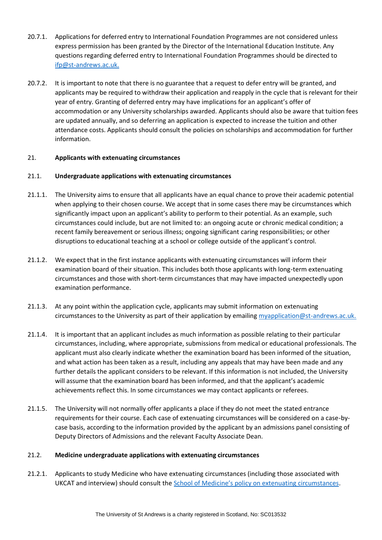- 20.7.1. Applications for deferred entry to International Foundation Programmes are not considered unless express permission has been granted by the Director of the International Education Institute. Any questions regarding deferred entry to International Foundation Programmes should be directed to [ifp@st-andrews.ac.uk.](mailto:ifp@st-andrews.ac.uk)
- 20.7.2. It is important to note that there is no guarantee that a request to defer entry will be granted, and applicants may be required to withdraw their application and reapply in the cycle that is relevant for their year of entry. Granting of deferred entry may have implications for an applicant's offer of accommodation or any University scholarships awarded. Applicants should also be aware that tuition fees are updated annually, and so deferring an application is expected to increase the tuition and other attendance costs. Applicants should consult the policies on scholarships and accommodation for further information.

# 21. **Applicants with extenuating circumstances**

# 21.1. **Undergraduate applications with extenuating circumstances**

- 21.1.1. The University aims to ensure that all applicants have an equal chance to prove their academic potential when applying to their chosen course. We accept that in some cases there may be circumstances which significantly impact upon an applicant's ability to perform to their potential. As an example, such circumstances could include, but are not limited to: an ongoing acute or chronic medical condition; a recent family bereavement or serious illness; ongoing significant caring responsibilities; or other disruptions to educational teaching at a school or college outside of the applicant's control.
- 21.1.2. We expect that in the first instance applicants with extenuating circumstances will inform their examination board of their situation. This includes both those applicants with long-term extenuating circumstances and those with short-term circumstances that may have impacted unexpectedly upon examination performance.
- 21.1.3. At any point within the application cycle, applicants may submit information on extenuating circumstances to the University as part of their application by emailing [myapplication@st-andrews.ac.uk.](mailto:myapplication@st-andrews.ac.uk)
- 21.1.4. It is important that an applicant includes as much information as possible relating to their particular circumstances, including, where appropriate, submissions from medical or educational professionals. The applicant must also clearly indicate whether the examination board has been informed of the situation, and what action has been taken as a result, including any appeals that may have been made and any further details the applicant considers to be relevant. If this information is not included, the University will assume that the examination board has been informed, and that the applicant's academic achievements reflect this. In some circumstances we may contact applicants or referees.
- 21.1.5. The University will not normally offer applicants a place if they do not meet the stated entrance requirements for their course. Each case of extenuating circumstances will be considered on a case-bycase basis, according to the information provided by the applicant by an admissions panel consisting of Deputy Directors of Admissions and the relevant Faculty Associate Dean.

#### 21.2. **Medicine undergraduate applications with extenuating circumstances**

21.2.1. Applicants to study Medicine who have extenuating circumstances (including those associated with UKCAT and interview) should consult the Sc[hool of Medicine's policy on extenuating circumstances](http://medhandbook.st-andrews.ac.uk/wp-content/uploads/sites/27/2014/05/students_admissions_Extenuating-circumstances.pdf).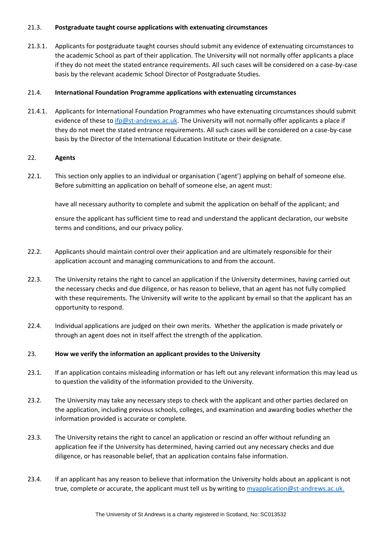## 21.3. **Postgraduate taught course applications with extenuating circumstances**

21.3.1. Applicants for postgraduate taught courses should submit any evidence of extenuating circumstances to the academic School as part of their application. The University will not normally offer applicants a place if they do not meet the stated entrance requirements. All such cases will be considered on a case-by-case basis by the relevant academic School Director of Postgraduate Studies.

# 21.4. **International Foundation Programme applications with extenuating circumstances**

21.4.1. Applicants for International Foundation Programmes who have extenuating circumstances should submit evidence of these to [ifp@st-andrews.ac.uk.](mailto:ifp@st-andrews.ac.uk) The University will not normally offer applicants a place if they do not meet the stated entrance requirements. All such cases will be considered on a case-by-case basis by the Director of the International Education Institute or their designate.

# 22. **Agents**

22.1. This section only applies to an individual or organisation ('agent') applying on behalf of someone else. Before submitting an application on behalf of someone else, an agent must:

have all necessary authority to complete and submit the application on behalf of the applicant; and

ensure the applicant has sufficient time to read and understand the applicant declaration, our website terms and conditions, and our privacy policy.

- 22.2. Applicants should maintain control over their application and are ultimately responsible for their application account and managing communications to and from the account.
- 22.3. The University retains the right to cancel an application if the University determines, having carried out the necessary checks and due diligence, or has reason to believe, that an agent has not fully complied with these requirements. The University will write to the applicant by email so that the applicant has an opportunity to respond.
- 22.4. Individual applications are judged on their own merits. Whether the application is made privately or through an agent does not in itself affect the strength of the application.

# 23. **How we verify the information an applicant provides to the University**

- 23.1. If an application contains misleading information or has left out any relevant information this may lead us to question the validity of the information provided to the University.
- 23.2. The University may take any necessary steps to check with the applicant and other parties declared on the application, including previous schools, colleges, and examination and awarding bodies whether the information provided is accurate or complete.
- 23.3. The University retains the right to cancel an application or rescind an offer without refunding an application fee if the University has determined, having carried out any necessary checks and due diligence, or has reasonable belief, that an application contains false information.
- 23.4. If an applicant has any reason to believe that information the University holds about an applicant is not true, complete or accurate, the applicant must tell us by writing to [myapplication@st-andrews.ac.uk.](mailto:myapplication@st-andrews.ac.uk)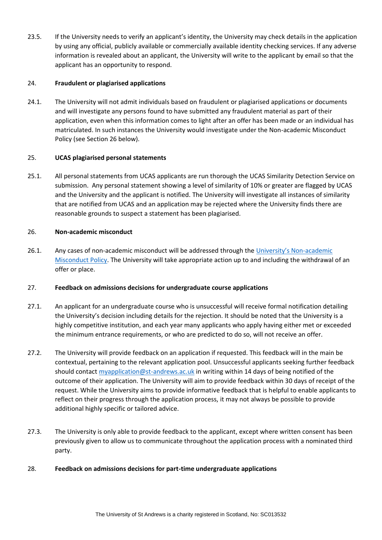23.5. If the University needs to verify an applicant's identity, the University may check details in the application by using any official, publicly available or commercially available identity checking services. If any adverse information is revealed about an applicant, the University will write to the applicant by email so that the applicant has an opportunity to respond.

# 24. **Fraudulent or plagiarised applications**

24.1. The University will not admit individuals based on fraudulent or plagiarised applications or documents and will investigate any persons found to have submitted any fraudulent material as part of their application, even when this information comes to light after an offer has been made or an individual has matriculated. In such instances the University would investigate under the Non-academic Misconduct Policy (see Section 26 below).

# 25. **UCAS plagiarised personal statements**

25.1. All personal statements from UCAS applicants are run thorough the UCAS Similarity Detection Service on submission. Any personal statement showing a level of similarity of 10% or greater are flagged by UCAS and the University and the applicant is notified. The University will investigate all instances of similarity that are notified from UCAS and an application may be rejected where the University finds there are reasonable grounds to suspect a statement has been plagiarised.

# 26. **Non-academic misconduct**

26.1. Any cases of non-academic misconduct will be addressed through the [University's Non](https://www.st-andrews.ac.uk/policy/student-administration-non-academic-discipline/non-academic-misconduct-policy.pdf)-academic [Misconduct Policy.](https://www.st-andrews.ac.uk/policy/student-administration-non-academic-discipline/non-academic-misconduct-policy.pdf) The University will take appropriate action up to and including the withdrawal of an offer or place.

# 27. **Feedback on admissions decisions for undergraduate course applications**

- 27.1. An applicant for an undergraduate course who is unsuccessful will receive formal notification detailing the University's decision including details for the rejection. It should be noted that the University is a highly competitive institution, and each year many applicants who apply having either met or exceeded the minimum entrance requirements, or who are predicted to do so, will not receive an offer.
- 27.2. The University will provide feedback on an application if requested. This feedback will in the main be contextual, pertaining to the relevant application pool. Unsuccessful applicants seeking further feedback should contact [myapplication@st-andrews.ac.uk](mailto:myapplication@st-andrews.ac.uk) in writing within 14 days of being notified of the outcome of their application. The University will aim to provide feedback within 30 days of receipt of the request. While the University aims to provide informative feedback that is helpful to enable applicants to reflect on their progress through the application process, it may not always be possible to provide additional highly specific or tailored advice.
- 27.3. The University is only able to provide feedback to the applicant, except where written consent has been previously given to allow us to communicate throughout the application process with a nominated third party.

# 28. **Feedback on admissions decisions for part-time undergraduate applications**